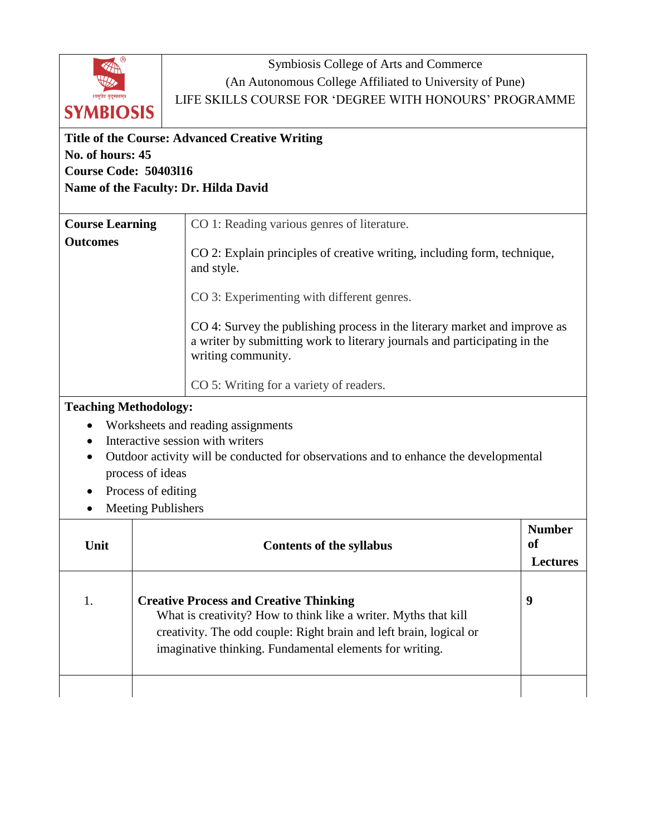

Symbiosis College of Arts and Commerce (An Autonomous College Affiliated to University of Pune) LIFE SKILLS COURSE FOR 'DEGREE WITH HONOURS' PROGRAMME

## **Title of the Course: Advanced Creative Writing No. of hours: 45 Course Code: 50403l16 Name of the Faculty: Dr. Hilda David Course Learning Outcomes** CO 1: Reading various genres of literature. CO 2: Explain principles of creative writing, including form, technique, and style. CO 3: Experimenting with different genres.

CO 4: Survey the publishing process in the literary market and improve as a writer by submitting work to literary journals and participating in the writing community.

CO 5: Writing for a variety of readers.

## **Teaching Methodology:**

- Worksheets and reading assignments
- Interactive session with writers
- Outdoor activity will be conducted for observations and to enhance the developmental process of ideas
- Process of editing
- Meeting Publishers

| Unit | <b>Contents of the syllabus</b>                                                                                                                                                                                                                   | <b>Number</b><br><sub>of</sub><br><b>Lectures</b> |
|------|---------------------------------------------------------------------------------------------------------------------------------------------------------------------------------------------------------------------------------------------------|---------------------------------------------------|
|      | <b>Creative Process and Creative Thinking</b><br>What is creativity? How to think like a writer. Myths that kill<br>creativity. The odd couple: Right brain and left brain, logical or<br>imaginative thinking. Fundamental elements for writing. | 9                                                 |
|      |                                                                                                                                                                                                                                                   |                                                   |